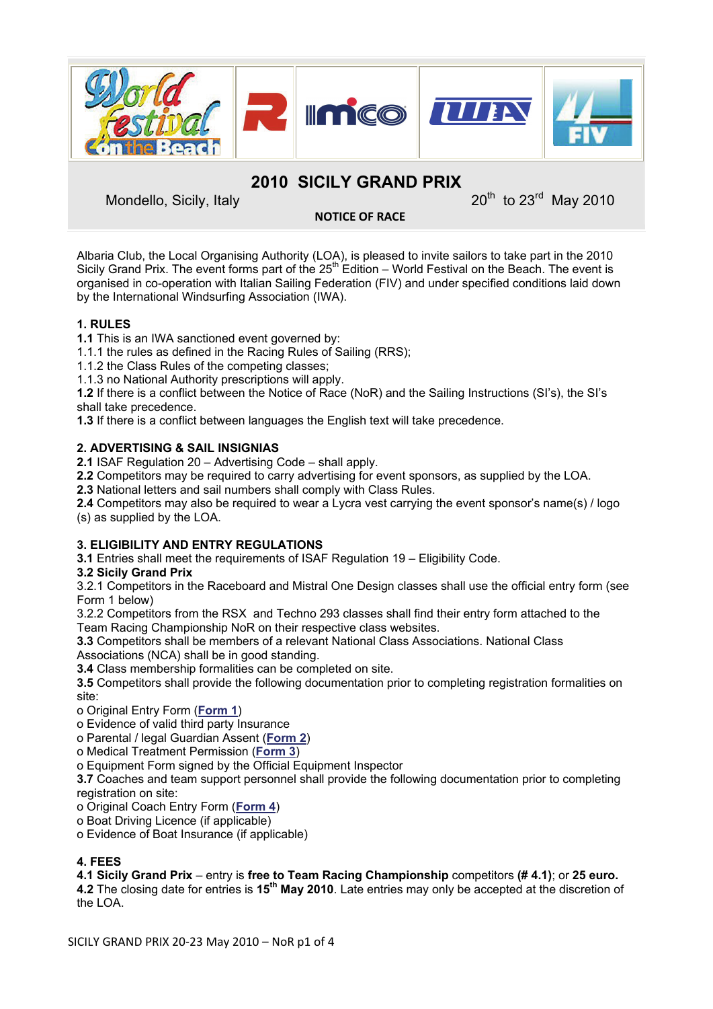

**2010 SICILY GRAND PRIX** 

Mondello, Sicily, Italy 2010

**NOTICE OF RACE**

Albaria Club, the Local Organising Authority (LOA), is pleased to invite sailors to take part in the 2010 Sicily Grand Prix. The event forms part of the 25<sup>th</sup> Edition – World Festival on the Beach. The event is organised in co-operation with Italian Sailing Federation (FIV) and under specified conditions laid down by the International Windsurfing Association (IWA).

# **1. RULES**

**1.1** This is an IWA sanctioned event governed by:

1.1.1 the rules as defined in the Racing Rules of Sailing (RRS);

1.1.2 the Class Rules of the competing classes;

1.1.3 no National Authority prescriptions will apply.

**1.2** If there is a conflict between the Notice of Race (NoR) and the Sailing Instructions (SI's), the SI's shall take precedence.

**1.3** If there is a conflict between languages the English text will take precedence.

## **2. ADVERTISING & SAIL INSIGNIAS**

**2.1** ISAF Regulation 20 – Advertising Code – shall apply.

**2.2** Competitors may be required to carry advertising for event sponsors, as supplied by the LOA.

**2.3** National letters and sail numbers shall comply with Class Rules.

**2.4** Competitors may also be required to wear a Lycra vest carrying the event sponsor's name(s) / logo (s) as supplied by the LOA.

## **3. ELIGIBILITY AND ENTRY REGULATIONS**

**3.1** Entries shall meet the requirements of ISAF Regulation 19 – Eligibility Code.

## **3.2 Sicily Grand Prix**

3.2.1 Competitors in the Raceboard and Mistral One Design classes shall use the official entry form (see Form 1 below)

3.2.2 Competitors from the RSX and Techno 293 classes shall find their entry form attached to the Team Racing Championship NoR on their respective class websites.

**3.3** Competitors shall be members of a relevant National Class Associations. National Class Associations (NCA) shall be in good standing.

**3.4** Class membership formalities can be completed on site.

**3.5** Competitors shall provide the following documentation prior to completing registration formalities on site:

o Original Entry Form (**[Form 1](http://www.internationalwindsurfing.com/userfiles/documents/2010_Sicily_Grand_Prix_Form_1.pdf)**)

o Evidence of valid third party Insurance

o Parental / legal Guardian Assent (**[Form 2](http://www.internationalwindsurfing.com/userfiles/documents/2010_Sicily_Grand_Prix_Form_2.pdf)**)

o Medical Treatment Permission (**[Form 3](http://www.internationalwindsurfing.com/userfiles/documents/2010_Sicily_Grand_Prix_Form_3.pdf)**)

o Equipment Form signed by the Official Equipment Inspector

**3.7** Coaches and team support personnel shall provide the following documentation prior to completing registration on site:

o Original Coach Entry Form (**[Form 4](http://www.internationalwindsurfing.com/userfiles/documents/2010_Sicily_Grand_Prix_Form_4.pdf)**)

o Boat Driving Licence (if applicable)

o Evidence of Boat Insurance (if applicable)

# **4. FEES**

## **4.1 Sicily Grand Prix** – entry is **free to Team Racing Championship** competitors **(# 4.1)**; or **25 euro.**

**4.2** The closing date for entries is **15th May 2010**. Late entries may only be accepted at the discretion of the LOA.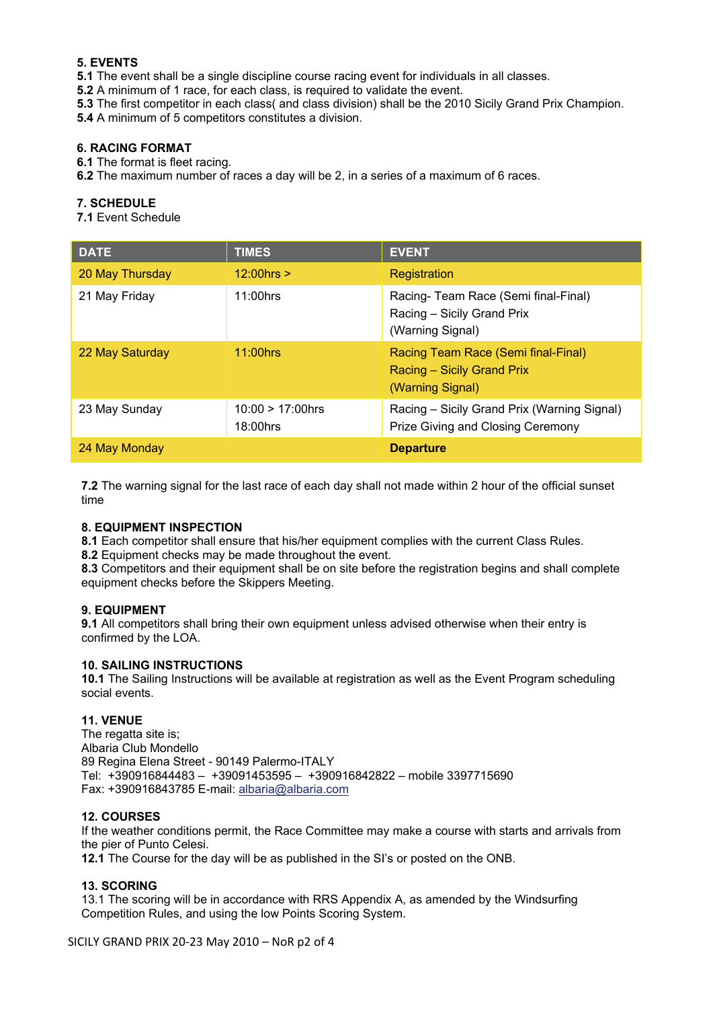# **5. EVENTS**

**5.1** The event shall be a single discipline course racing event for individuals in all classes.

**5.2** A minimum of 1 race, for each class, is required to validate the event.

**5.3** The first competitor in each class( and class division) shall be the 2010 Sicily Grand Prix Champion.

**5.4** A minimum of 5 competitors constitutes a division.

### **6. RACING FORMAT**

**6.1** The format is fleet racing.

**6.2** The maximum number of races a day will be 2, in a series of a maximum of 6 races.

### **7. SCHEDULE**

**7.1** Event Schedule

| <b>DATE</b>     | <b>TIMES</b>                    | <b>EVENT</b>                                                                          |
|-----------------|---------------------------------|---------------------------------------------------------------------------------------|
| 20 May Thursday | $12:00$ hrs $>$                 | Registration                                                                          |
| 21 May Friday   | 11:00hrs                        | Racing-Team Race (Semi final-Final)<br>Racing - Sicily Grand Prix<br>(Warning Signal) |
| 22 May Saturday | $11:00$ hrs                     | Racing Team Race (Semi final-Final)<br>Racing - Sicily Grand Prix<br>(Warning Signal) |
| 23 May Sunday   | $10:00 > 17:00$ hrs<br>18:00hrs | Racing – Sicily Grand Prix (Warning Signal)<br>Prize Giving and Closing Ceremony      |
| 24 May Monday   |                                 | <b>Departure</b>                                                                      |

**7.2** The warning signal for the last race of each day shall not made within 2 hour of the official sunset time

### **8. EQUIPMENT INSPECTION**

**8.1** Each competitor shall ensure that his/her equipment complies with the current Class Rules. **8.2** Equipment checks may be made throughout the event.

**8.3** Competitors and their equipment shall be on site before the registration begins and shall complete equipment checks before the Skippers Meeting.

## **9. EQUIPMENT**

**9.1** All competitors shall bring their own equipment unless advised otherwise when their entry is confirmed by the LOA.

### **10. SAILING INSTRUCTIONS**

**10.1** The Sailing Instructions will be available at registration as well as the Event Program scheduling social events.

## **11. VENUE**

The regatta site is; Albaria Club Mondello 89 Regina Elena Street - 90149 Palermo-ITALY Tel: +390916844483 – +39091453595 – +390916842822 – mobile 3397715690 Fax: +390916843785 E-mail: [albaria@albaria.com](mailto:albaria@albaria.com)

### **12. COURSES**

If the weather conditions permit, the Race Committee may make a course with starts and arrivals from the pier of Punto Celesi.

**12.1** The Course for the day will be as published in the SI's or posted on the ONB.

## **13. SCORING**

13.1 The scoring will be in accordance with RRS Appendix A, as amended by the Windsurfing Competition Rules, and using the low Points Scoring System.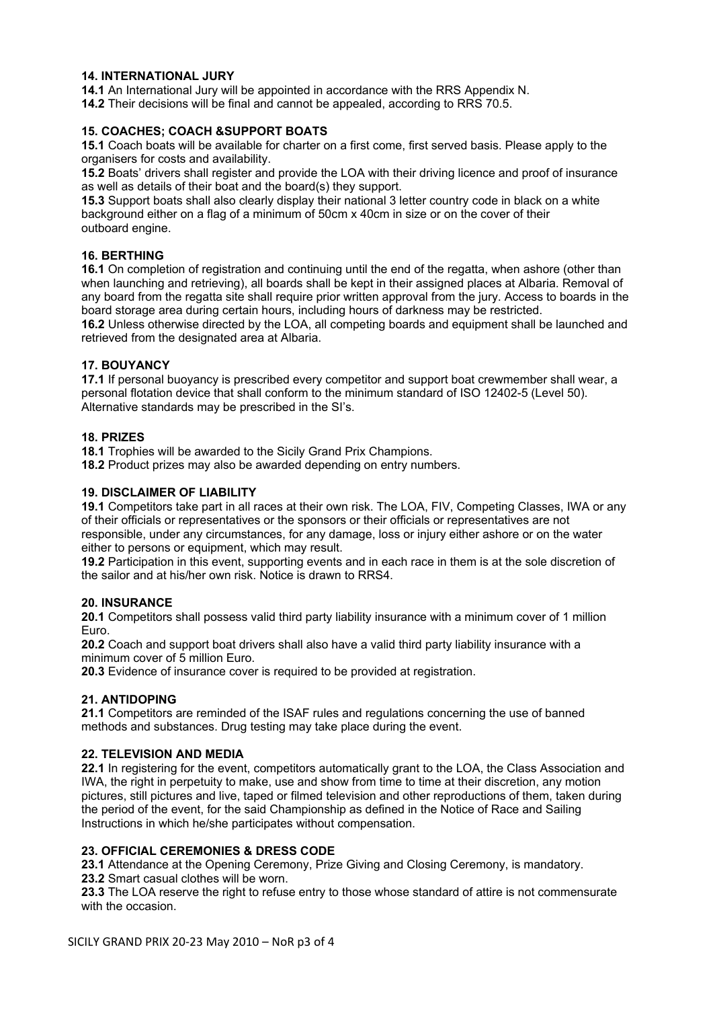#### **14. INTERNATIONAL JURY**

**14.1** An International Jury will be appointed in accordance with the RRS Appendix N.

**14.2** Their decisions will be final and cannot be appealed, according to RRS 70.5.

#### **15. COACHES; COACH &SUPPORT BOATS**

**15.1** Coach boats will be available for charter on a first come, first served basis. Please apply to the organisers for costs and availability.

**15.2** Boats' drivers shall register and provide the LOA with their driving licence and proof of insurance as well as details of their boat and the board(s) they support.

**15.3** Support boats shall also clearly display their national 3 letter country code in black on a white background either on a flag of a minimum of 50cm x 40cm in size or on the cover of their outboard engine.

#### **16. BERTHING**

**16.1** On completion of registration and continuing until the end of the regatta, when ashore (other than when launching and retrieving), all boards shall be kept in their assigned places at Albaria. Removal of any board from the regatta site shall require prior written approval from the jury. Access to boards in the board storage area during certain hours, including hours of darkness may be restricted.

**16.2** Unless otherwise directed by the LOA, all competing boards and equipment shall be launched and retrieved from the designated area at Albaria.

#### **17. BOUYANCY**

**17.1** If personal buoyancy is prescribed every competitor and support boat crewmember shall wear, a personal flotation device that shall conform to the minimum standard of ISO 12402-5 (Level 50). Alternative standards may be prescribed in the SI's.

#### **18. PRIZES**

**18.1** Trophies will be awarded to the Sicily Grand Prix Champions.

**18.2** Product prizes may also be awarded depending on entry numbers.

#### **19. DISCLAIMER OF LIABILITY**

**19.1** Competitors take part in all races at their own risk. The LOA, FIV, Competing Classes, IWA or any of their officials or representatives or the sponsors or their officials or representatives are not responsible, under any circumstances, for any damage, loss or injury either ashore or on the water either to persons or equipment, which may result.

**19.2** Participation in this event, supporting events and in each race in them is at the sole discretion of the sailor and at his/her own risk. Notice is drawn to RRS4.

#### **20. INSURANCE**

**20.1** Competitors shall possess valid third party liability insurance with a minimum cover of 1 million Euro.

**20.2** Coach and support boat drivers shall also have a valid third party liability insurance with a minimum cover of 5 million Euro.

**20.3** Evidence of insurance cover is required to be provided at registration.

#### **21. ANTIDOPING**

**21.1** Competitors are reminded of the ISAF rules and regulations concerning the use of banned methods and substances. Drug testing may take place during the event.

#### **22. TELEVISION AND MEDIA**

**22.1** In registering for the event, competitors automatically grant to the LOA, the Class Association and IWA, the right in perpetuity to make, use and show from time to time at their discretion, any motion pictures, still pictures and live, taped or filmed television and other reproductions of them, taken during the period of the event, for the said Championship as defined in the Notice of Race and Sailing Instructions in which he/she participates without compensation.

#### **23. OFFICIAL CEREMONIES & DRESS CODE**

**23.1** Attendance at the Opening Ceremony, Prize Giving and Closing Ceremony, is mandatory.

**23.2** Smart casual clothes will be worn.

**23.3** The LOA reserve the right to refuse entry to those whose standard of attire is not commensurate with the occasion